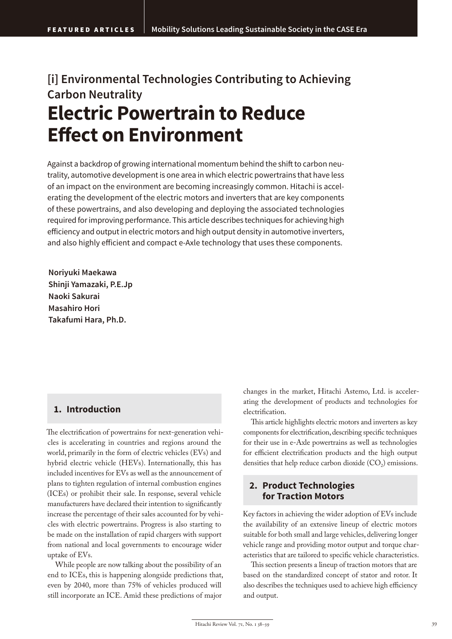# **[i] Environmental Technologies Contributing to Achieving Carbon Neutrality Electric Powertrain to Reduce Effect on Environment**

Against a backdrop of growing international momentum behind the shift to carbon neutrality, automotive development is one area in which electric powertrains that have less of an impact on the environment are becoming increasingly common. Hitachi is accelerating the development of the electric motors and inverters that are key components of these powertrains, and also developing and deploying the associated technologies required for improving performance. This article describes techniques for achieving high efficiency and output in electric motors and high output density in automotive inverters, and also highly efficient and compact e-Axle technology that uses these components.

**Noriyuki Maekawa Shinji Yamazaki, P.E.Jp Naoki Sakurai Masahiro Hori Takafumi Hara, Ph.D.**

# **1. Introduction**

The electrification of powertrains for next-generation vehicles is accelerating in countries and regions around the world, primarily in the form of electric vehicles (EVs) and hybrid electric vehicle (HEVs). Internationally, this has included incentives for EVs as well as the announcement of plans to tighten regulation of internal combustion engines (ICEs) or prohibit their sale. In response, several vehicle manufacturers have declared their intention to significantly increase the percentage of their sales accounted for by vehicles with electric powertrains. Progress is also starting to be made on the installation of rapid chargers with support from national and local governments to encourage wider uptake of EVs.

While people are now talking about the possibility of an end to ICEs, this is happening alongside predictions that, even by 2040, more than 75% of vehicles produced will still incorporate an ICE. Amid these predictions of major

changes in the market, Hitachi Astemo, Ltd. is accelerating the development of products and technologies for electrification.

This article highlights electric motors and inverters as key components for electrification, describing specific techniques for their use in e-Axle powertrains as well as technologies for efficient electrification products and the high output densities that help reduce carbon dioxide  $(CO<sub>2</sub>)$  emissions.

# **2. Product Technologies for Traction Motors**

Key factors in achieving the wider adoption of EVs include the availability of an extensive lineup of electric motors suitable for both small and large vehicles, delivering longer vehicle range and providing motor output and torque characteristics that are tailored to specific vehicle characteristics.

This section presents a lineup of traction motors that are based on the standardized concept of stator and rotor. It also describes the techniques used to achieve high efficiency and output.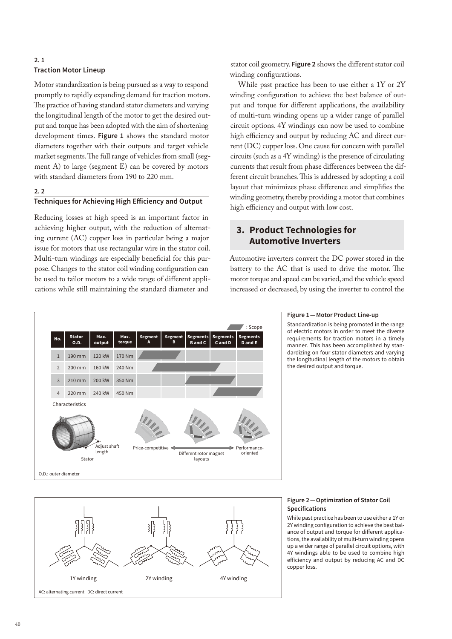### **2. 1**

### **Traction Motor Lineup**

Motor standardization is being pursued as a way to respond promptly to rapidly expanding demand for traction motors. The practice of having standard stator diameters and varying the longitudinal length of the motor to get the desired output and torque has been adopted with the aim of shortening development times. **Figure 1** shows the standard motor diameters together with their outputs and target vehicle market segments. The full range of vehicles from small (segment A) to large (segment E) can be covered by motors with standard diameters from 190 to 220 mm.

# **2. 2**

# **Techniques for Achieving High Efficiency and Output**

Reducing losses at high speed is an important factor in achieving higher output, with the reduction of alternating current (AC) copper loss in particular being a major issue for motors that use rectangular wire in the stator coil. Multi-turn windings are especially beneficial for this purpose. Changes to the stator coil winding configuration can be used to tailor motors to a wide range of different applications while still maintaining the standard diameter and

stator coil geometry. **Figure 2** shows the different stator coil winding configurations.

While past practice has been to use either a 1Y or 2Y winding configuration to achieve the best balance of output and torque for different applications, the availability of multi-turn winding opens up a wider range of parallel circuit options. 4Y windings can now be used to combine high efficiency and output by reducing AC and direct current (DC) copper loss. One cause for concern with parallel circuits (such as a 4Y winding) is the presence of circulating currents that result from phase differences between the different circuit branches. This is addressed by adopting a coil layout that minimizes phase difference and simplifies the winding geometry, thereby providing a motor that combines high efficiency and output with low cost.

# **3. Product Technologies for Automotive Inverters**

Automotive inverters convert the DC power stored in the battery to the AC that is used to drive the motor. The motor torque and speed can be varied, and the vehicle speed increased or decreased, by using the inverter to control the





Standardization is being promoted in the range of electric motors in order to meet the diverse requirements for traction motors in a timely manner. This has been accomplished by standardizing on four stator diameters and varying the longitudinal length of the motors to obtain the desired output and torque.



### **Figure 2 — Optimization of Stator Coil Specifications**

While past practice has been to use either a 1Y or 2Y winding configuration to achieve the best balance of output and torque for different applications, the availability of multi-turn winding opens up a wider range of parallel circuit options, with 4Y windings able to be used to combine high efficiency and output by reducing AC and DC copper loss.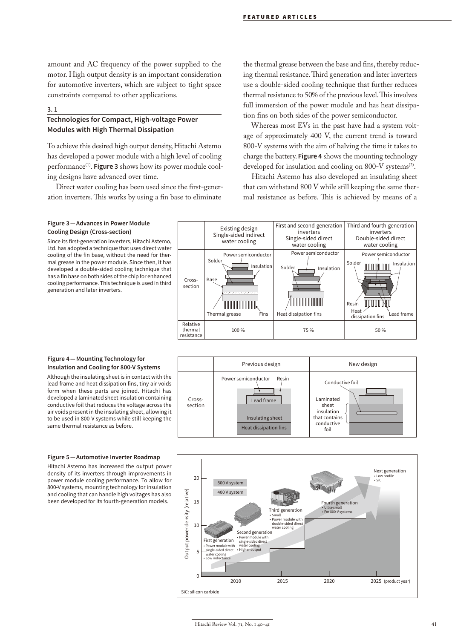amount and AC frequency of the power supplied to the motor. High output density is an important consideration for automotive inverters, which are subject to tight space constraints compared to other applications.

#### **3. 1**

# **Technologies for Compact, High-voltage Power Modules with High Thermal Dissipation**

To achieve this desired high output density, Hitachi Astemo has developed a power module with a high level of cooling performance<sup>(1)</sup>. **Figure 3** shows how its power module cooling designs have advanced over time.

Direct water cooling has been used since the first-generation inverters. This works by using a fin base to eliminate

the thermal grease between the base and fins, thereby reducing thermal resistance. Third generation and later inverters use a double-sided cooling technique that further reduces thermal resistance to 50% of the previous level. This involves full immersion of the power module and has heat dissipation fins on both sides of the power semiconductor.

Whereas most EVs in the past have had a system voltage of approximately 400 V, the current trend is toward 800-V systems with the aim of halving the time it takes to charge the battery. **Figure 4** shows the mounting technology developed for insulation and cooling on 800-V systems<sup>(2)</sup>.

Hitachi Astemo has also developed an insulating sheet that can withstand 800 V while still keeping the same thermal resistance as before. This is achieved by means of a

### **Figure 3 — Advances in Power Module Cooling Design (Cross-section)**

Since its first-generation inverters, Hitachi Astemo, Ltd. has adopted a technique that uses direct water cooling of the fin base, without the need for thermal grease in the power module. Since then, it has developed a double-sided cooling technique that has a fin base on both sides of the chip for enhanced cooling performance. This technique is used in third generation and later inverters.



#### **Figure 4 — Mounting Technology for Insulation and Cooling for 800-V Systems**

Although the insulating sheet is in contact with the lead frame and heat dissipation fins, tiny air voids form when these parts are joined. Hitachi has developed a laminated sheet insulation containing conductive foil that reduces the voltage across the air voids present in the insulating sheet, allowing it to be used in 800-V systems while still keeping the same thermal resistance as before.



#### **Figure 5 — Automotive Inverter Roadmap**

Hitachi Astemo has increased the output power density of its inverters through improvements in power module cooling performance. To allow for 800-V systems, mounting technology for insulation and cooling that can handle high voltages has also been developed for its fourth-generation models.

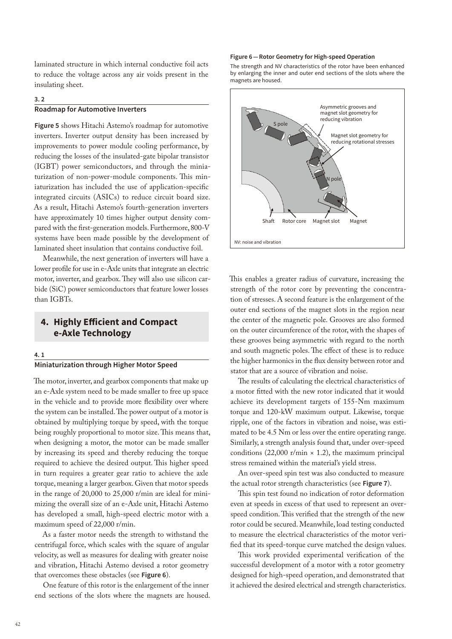laminated structure in which internal conductive foil acts to reduce the voltage across any air voids present in the insulating sheet.

# **3. 2**

# **Roadmap for Automotive Inverters**

**Figure 5** shows Hitachi Astemo's roadmap for automotive inverters. Inverter output density has been increased by improvements to power module cooling performance, by reducing the losses of the insulated-gate bipolar transistor (IGBT) power semiconductors, and through the miniaturization of non-power-module components. This miniaturization has included the use of application-specific integrated circuits (ASICs) to reduce circuit board size. As a result, Hitachi Astemo's fourth-generation inverters have approximately 10 times higher output density compared with the first-generation models. Furthermore, 800-V systems have been made possible by the development of laminated sheet insulation that contains conductive foil.

Meanwhile, the next generation of inverters will have a lower profile for use in e-Axle units that integrate an electric motor, inverter, and gearbox. They will also use silicon carbide (SiC) power semiconductors that feature lower losses than IGBTs.

# **4. Highly Efficient and Compact e-Axle Technology**

#### **4. 1**

# **Miniaturization through Higher Motor Speed**

The motor, inverter, and gearbox components that make up an e-Axle system need to be made smaller to free up space in the vehicle and to provide more flexibility over where the system can be installed. The power output of a motor is obtained by multiplying torque by speed, with the torque being roughly proportional to motor size. This means that, when designing a motor, the motor can be made smaller by increasing its speed and thereby reducing the torque required to achieve the desired output. This higher speed in turn requires a greater gear ratio to achieve the axle torque, meaning a larger gearbox. Given that motor speeds in the range of 20,000 to 25,000 r/min are ideal for minimizing the overall size of an e-Axle unit, Hitachi Astemo has developed a small, high-speed electric motor with a maximum speed of 22,000 r/min.

As a faster motor needs the strength to withstand the centrifugal force, which scales with the square of angular velocity, as well as measures for dealing with greater noise and vibration, Hitachi Astemo devised a rotor geometry that overcomes these obstacles (see **Figure 6**).

One feature of this rotor is the enlargement of the inner end sections of the slots where the magnets are housed.

#### **Figure 6 — Rotor Geometry for High-speed Operation**

The strength and NV characteristics of the rotor have been enhanced by enlarging the inner and outer end sections of the slots where the magnets are housed.



This enables a greater radius of curvature, increasing the strength of the rotor core by preventing the concentration of stresses. A second feature is the enlargement of the outer end sections of the magnet slots in the region near the center of the magnetic pole. Grooves are also formed on the outer circumference of the rotor, with the shapes of these grooves being asymmetric with regard to the north and south magnetic poles. The effect of these is to reduce the higher harmonics in the flux density between rotor and stator that are a source of vibration and noise.

The results of calculating the electrical characteristics of a motor fitted with the new rotor indicated that it would achieve its development targets of 155-Nm maximum torque and 120-kW maximum output. Likewise, torque ripple, one of the factors in vibration and noise, was estimated to be 4.5 Nm or less over the entire operating range. Similarly, a strength analysis found that, under over-speed conditions (22,000 r/min  $\times$  1.2), the maximum principal stress remained within the material's yield stress.

An over-speed spin test was also conducted to measure the actual rotor strength characteristics (see **Figure 7**).

This spin test found no indication of rotor deformation even at speeds in excess of that used to represent an overspeed condition. This verified that the strength of the new rotor could be secured. Meanwhile, load testing conducted to measure the electrical characteristics of the motor verified that its speed-torque curve matched the design values.

This work provided experimental verification of the successful development of a motor with a rotor geometry designed for high-speed operation, and demonstrated that it achieved the desired electrical and strength characteristics.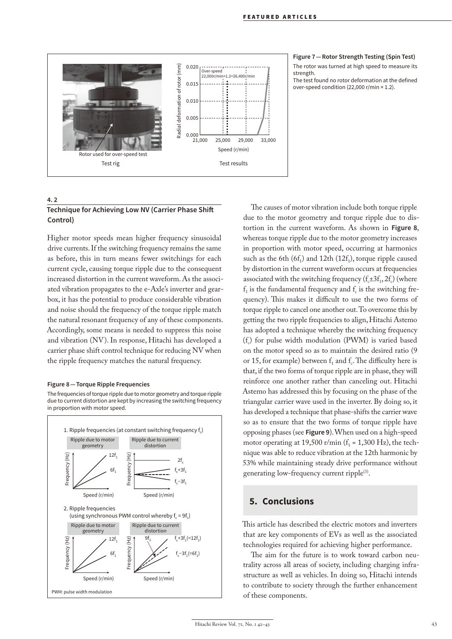

#### **Figure 7 — Rotor Strength Testing (Spin Test)**

The rotor was turned at high speed to measure its strength.

The test found no rotor deformation at the defined over-speed condition (22,000 r/min × 1.2).

# **4. 2 Technique for Achieving Low NV (Carrier Phase Shift Control)**

Higher motor speeds mean higher frequency sinusoidal drive currents. If the switching frequency remains the same as before, this in turn means fewer switchings for each current cycle, causing torque ripple due to the consequent increased distortion in the current waveform. As the associated vibration propagates to the e-Axle's inverter and gearbox, it has the potential to produce considerable vibration and noise should the frequency of the torque ripple match the natural resonant frequency of any of these components. Accordingly, some means is needed to suppress this noise and vibration (NV). In response, Hitachi has developed a carrier phase shift control technique for reducing NV when the ripple frequency matches the natural frequency.

#### **Figure 8 — Torque Ripple Frequencies**

The frequencies of torque ripple due to motor geometry and torque ripple due to current distortion are kept by increasing the switching frequency in proportion with motor speed.



The causes of motor vibration include both torque ripple due to the motor geometry and torque ripple due to distortion in the current waveform. As shown in **Figure 8**, whereas torque ripple due to the motor geometry increases in proportion with motor speed, occurring at harmonics such as the 6th  $(6f_1)$  and 12th  $(12f_1)$ , torque ripple caused by distortion in the current waveform occurs at frequencies associated with the switching frequency  $(f_{\pm} = 3f_1, 2f_c)$  (where  $f<sub>1</sub>$  is the fundamental frequency and  $f<sub>c</sub>$  is the switching frequency). This makes it difficult to use the two forms of torque ripple to cancel one another out. To overcome this by getting the two ripple frequencies to align, Hitachi Astemo has adopted a technique whereby the switching frequency  $(f_c)$  for pulse width modulation (PWM) is varied based on the motor speed so as to maintain the desired ratio (9 or 15, for example) between  $f_1$  and  $f_c$ . The difficulty here is that, if the two forms of torque ripple are in phase, they will reinforce one another rather than canceling out. Hitachi Astemo has addressed this by focusing on the phase of the triangular carrier wave used in the inverter. By doing so, it has developed a technique that phase-shifts the carrier wave so as to ensure that the two forms of torque ripple have opposing phases (see **Figure 9**). When used on a high-speed motor operating at 19,500 r/min  $(f_1 = 1,300 \text{ Hz})$ , the technique was able to reduce vibration at the 12th harmonic by 53% while maintaining steady drive performance without generating low-frequency current ripple<sup>(3)</sup>.

# **5. Conclusions**

This article has described the electric motors and inverters that are key components of EVs as well as the associated technologies required for achieving higher performance.

The aim for the future is to work toward carbon neutrality across all areas of society, including charging infrastructure as well as vehicles. In doing so, Hitachi intends to contribute to society through the further enhancement of these components.